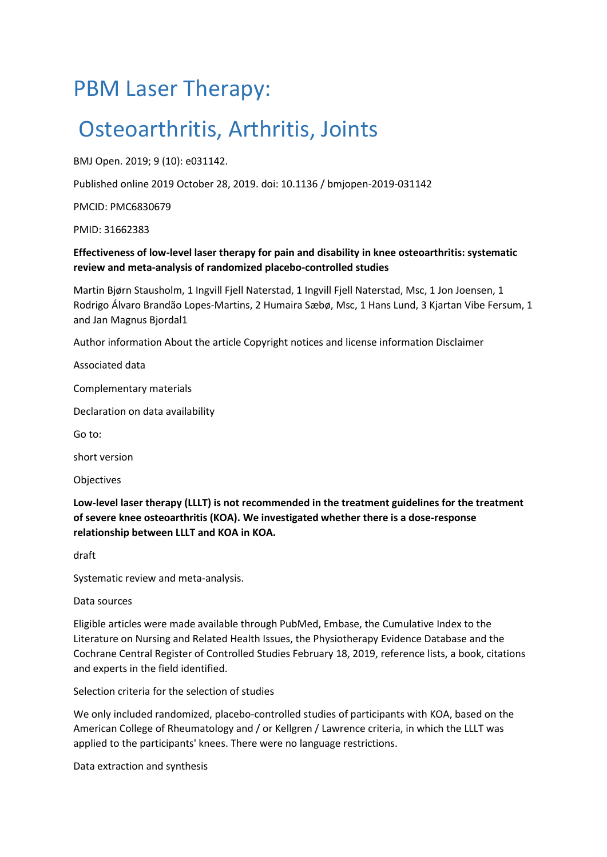# PBM Laser Therapy:

# Osteoarthritis, Arthritis, Joints

BMJ Open. 2019; 9 (10): e031142.

Published online 2019 October 28, 2019. doi: 10.1136 / bmjopen-2019-031142

PMCID: PMC6830679

PMID: 31662383

### **Effectiveness of low-level laser therapy for pain and disability in knee osteoarthritis: systematic review and meta-analysis of randomized placebo-controlled studies**

Martin Bjørn Stausholm, 1 Ingvill Fjell Naterstad, 1 Ingvill Fjell Naterstad, Msc, 1 Jon Joensen, 1 Rodrigo Álvaro Brandão Lopes-Martins, 2 Humaira Sæbø, Msc, 1 Hans Lund, 3 Kjartan Vibe Fersum, 1 and Jan Magnus Bjordal1

Author information About the article Copyright notices and license information Disclaimer

Associated data

Complementary materials

Declaration on data availability

Go to:

short version

Objectives

**Low-level laser therapy (LLLT) is not recommended in the treatment guidelines for the treatment of severe knee osteoarthritis (KOA). We investigated whether there is a dose-response relationship between LLLT and KOA in KOA.**

draft

Systematic review and meta-analysis.

Data sources

Eligible articles were made available through PubMed, Embase, the Cumulative Index to the Literature on Nursing and Related Health Issues, the Physiotherapy Evidence Database and the Cochrane Central Register of Controlled Studies February 18, 2019, reference lists, a book, citations and experts in the field identified.

Selection criteria for the selection of studies

We only included randomized, placebo-controlled studies of participants with KOA, based on the American College of Rheumatology and / or Kellgren / Lawrence criteria, in which the LLLT was applied to the participants' knees. There were no language restrictions.

Data extraction and synthesis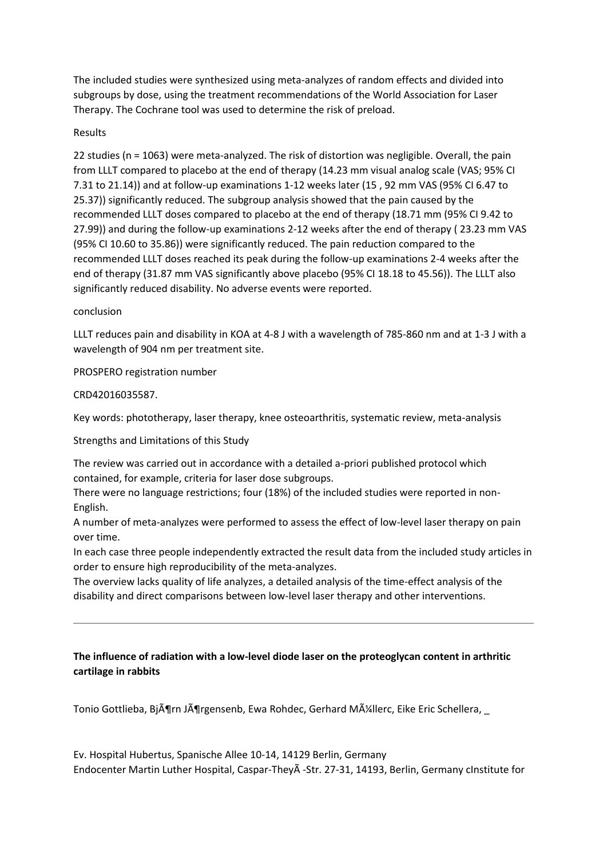The included studies were synthesized using meta-analyzes of random effects and divided into subgroups by dose, using the treatment recommendations of the World Association for Laser Therapy. The Cochrane tool was used to determine the risk of preload.

#### Results

22 studies (n = 1063) were meta-analyzed. The risk of distortion was negligible. Overall, the pain from LLLT compared to placebo at the end of therapy (14.23 mm visual analog scale (VAS; 95% CI 7.31 to 21.14)) and at follow-up examinations 1-12 weeks later (15 , 92 mm VAS (95% CI 6.47 to 25.37)) significantly reduced. The subgroup analysis showed that the pain caused by the recommended LLLT doses compared to placebo at the end of therapy (18.71 mm (95% CI 9.42 to 27.99)) and during the follow-up examinations 2-12 weeks after the end of therapy ( 23.23 mm VAS (95% CI 10.60 to 35.86)) were significantly reduced. The pain reduction compared to the recommended LLLT doses reached its peak during the follow-up examinations 2-4 weeks after the end of therapy (31.87 mm VAS significantly above placebo (95% CI 18.18 to 45.56)). The LLLT also significantly reduced disability. No adverse events were reported.

#### conclusion

LLLT reduces pain and disability in KOA at 4-8 J with a wavelength of 785-860 nm and at 1-3 J with a wavelength of 904 nm per treatment site.

PROSPERO registration number

#### CRD42016035587.

Key words: phototherapy, laser therapy, knee osteoarthritis, systematic review, meta-analysis

Strengths and Limitations of this Study

The review was carried out in accordance with a detailed a-priori published protocol which contained, for example, criteria for laser dose subgroups.

There were no language restrictions; four (18%) of the included studies were reported in non-English.

A number of meta-analyzes were performed to assess the effect of low-level laser therapy on pain over time.

In each case three people independently extracted the result data from the included study articles in order to ensure high reproducibility of the meta-analyzes.

The overview lacks quality of life analyzes, a detailed analysis of the time-effect analysis of the disability and direct comparisons between low-level laser therapy and other interventions.

### **The influence of radiation with a low-level diode laser on the proteoglycan content in arthritic cartilage in rabbits**

Tonio Gottlieba, BjĶrn JĶrgensenb, Ewa Rohdec, Gerhard Mļllerc, Eike Eric Schellera,

Ev. Hospital Hubertus, Spanische Allee 10-14, 14129 Berlin, Germany Endocenter Martin Luther Hospital, Caspar-Theyà -Str. 27-31, 14193, Berlin, Germany cInstitute for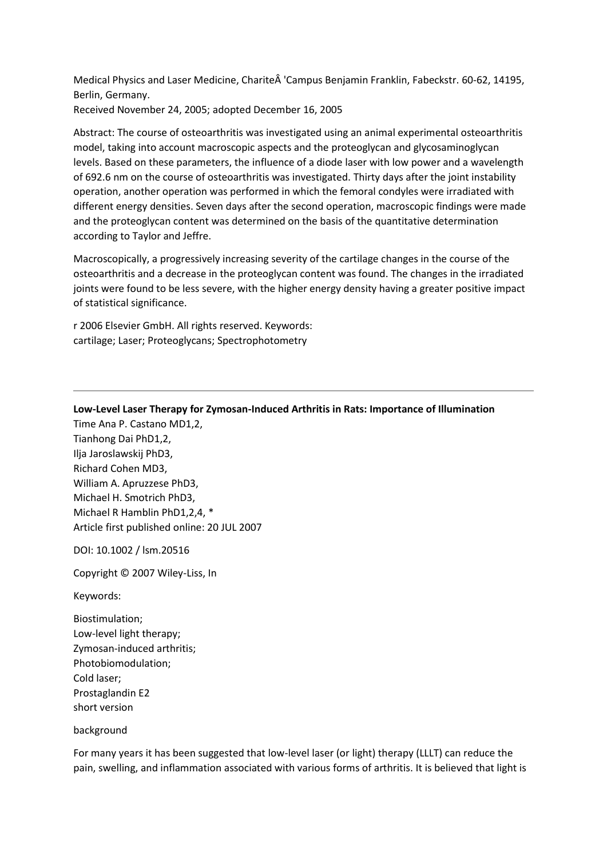Medical Physics and Laser Medicine, Charite 'Campus Benjamin Franklin, Fabeckstr. 60-62, 14195, Berlin, Germany.

Received November 24, 2005; adopted December 16, 2005

Abstract: The course of osteoarthritis was investigated using an animal experimental osteoarthritis model, taking into account macroscopic aspects and the proteoglycan and glycosaminoglycan levels. Based on these parameters, the influence of a diode laser with low power and a wavelength of 692.6 nm on the course of osteoarthritis was investigated. Thirty days after the joint instability operation, another operation was performed in which the femoral condyles were irradiated with different energy densities. Seven days after the second operation, macroscopic findings were made and the proteoglycan content was determined on the basis of the quantitative determination according to Taylor and Jeffre.

Macroscopically, a progressively increasing severity of the cartilage changes in the course of the osteoarthritis and a decrease in the proteoglycan content was found. The changes in the irradiated joints were found to be less severe, with the higher energy density having a greater positive impact of statistical significance.

r 2006 Elsevier GmbH. All rights reserved. Keywords: cartilage; Laser; Proteoglycans; Spectrophotometry

**Low-Level Laser Therapy for Zymosan-Induced Arthritis in Rats: Importance of Illumination**

Time Ana P. Castano MD1,2, Tianhong Dai PhD1,2, Ilja Jaroslawskij PhD3, Richard Cohen MD3, William A. Apruzzese PhD3, Michael H. Smotrich PhD3, Michael R Hamblin PhD1,2,4, \* Article first published online: 20 JUL 2007

DOI: 10.1002 / lsm.20516

Copyright © 2007 Wiley-Liss, In

Keywords:

Biostimulation; Low-level light therapy; Zymosan-induced arthritis; Photobiomodulation; Cold laser; Prostaglandin E2 short version

background

For many years it has been suggested that low-level laser (or light) therapy (LLLT) can reduce the pain, swelling, and inflammation associated with various forms of arthritis. It is believed that light is